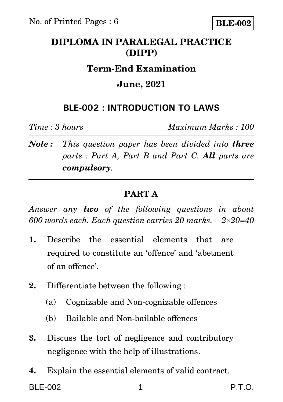# **DIPLOMA IN PARALEGAL PRACTICE (DIPP)**

### **Term-End Examination**

## **June, 2021**

## **BLE-002 : INTRODUCTION TO LAWS**

*Time : 3 hours Maximum Marks : 100*

*Note : This question paper has been divided into three parts : Part A, Part B and Part C. All parts are compulsory.* 

### **PART A**

*Answer any two of the following questions in about 600 words each. Each question carries 20 marks. 220=40*

- **1.** Describe the essential elements that are required to constitute an 'offence' and 'abetment of an offence'.
- **2.** Differentiate between the following :
	- (a) Cognizable and Non-cognizable offences
	- (b) Bailable and Non-bailable offences
- **3.** Discuss the tort of negligence and contributory negligence with the help of illustrations.
- **4.** Explain the essential elements of valid contract.

BLE-002 1 P.T.O.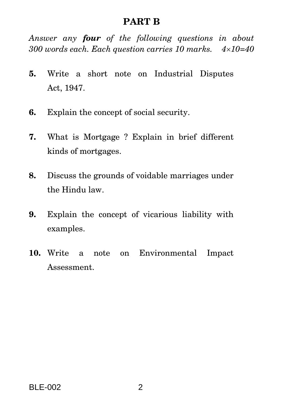#### **PART B**

*Answer any four of the following questions in about 300 words each. Each question carries 10 marks. 410=40*

- **5.** Write a short note on Industrial Disputes Act, 1947.
- **6.** Explain the concept of social security.
- **7.** What is Mortgage ? Explain in brief different kinds of mortgages.
- **8.** Discuss the grounds of voidable marriages under the Hindu law.
- **9.** Explain the concept of vicarious liability with examples.
- **10.** Write a note on Environmental Impact Assessment.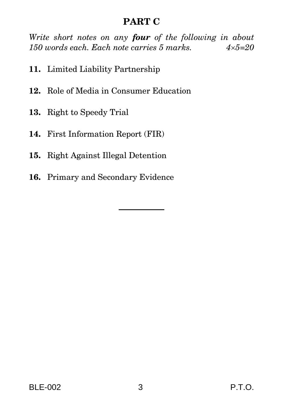## **PART C**

*Write short notes on any four of the following in about 150 words each. Each note carries 5 marks. 45=20*

- **11.** Limited Liability Partnership
- **12.** Role of Media in Consumer Education
- **13.** Right to Speedy Trial
- **14.** First Information Report (FIR)
- **15.** Right Against Illegal Detention
- **16.** Primary and Secondary Evidence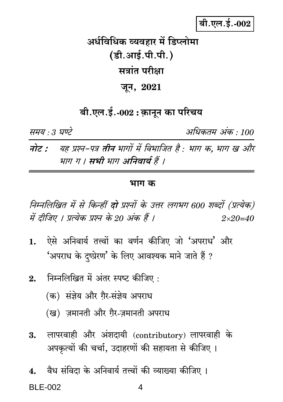# बी.एल.ई.-002

अर्धविधिक व्यवहार में डिप्लोमा (डी.आई.पी.पी.) सत्रांत परीक्षा जून, 2021

# बी.एल.ई.-002 : क़ानून का परिचय

समय : 3 घण्टे

अधिकतम अंक · 100

यह प्रश्न-पत्र **तीन** भागों में विभाजित है : भाग क, भाग ख और नोट : भाग ग । सभी भाग अनिवार्य हैं ।

#### भाग क

निम्नलिखित में से किन्हीं दो प्रश्नों के उत्तर लगभग 600 शब्दों (प्रत्येक) में दीजिए । प्रत्येक प्रश्न के 20 अंक हैं ।  $2 \times 20 = 40$ 

- ऐसे अनिवार्य तत्त्वों का वर्णन कीजिए जो 'अपराध' और  $\mathbf{1}$ . 'अपराध के दष्प्रेरण' के लिए आवश्यक माने जाते हैं ?
- निम्नलिखित में अंतर स्पष्ट कीजिए :  $2<sup>1</sup>$ 
	- (क) संज्ञेय और गैर-संज्ञेय अपराध
	- (ख) ज़मानती और ग़ैर-ज़मानती अपराध
- लापरवाही और अंशदायी (contributory) लापरवाही के 3. अपकृत्यों की चर्चा, उदाहरणों की सहायता से कीजिए ।
- वैध संविदा के अनिवार्य तत्त्वों की व्याख्या कीजिए ।  $\overline{4}$ . **BI F-002** 4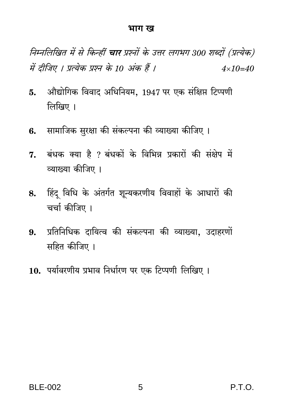#### भाग ख

निम्नलिखित में से किन्हीं **चार** प्रश्नों के उत्तर लगभग 300 शब्दों (प्रत्येक) में दीजिए । प्रत्येक प्रश्न के 10 अंक हैं ।  $4 \times 10 = 40$ 

- औद्योगिक विवाद अधिनियम, 1947 पर एक संक्षिप्त टिप्पणी 5. लिखिए ।
- 6. सामाजिक सुरक्षा की संकल्पना की व्याख्या कीजिए ।
- 7. बंधक क्या है ? बंधकों के विभिन्न प्रकारों की संक्षेप में व्याख्या कीजिए ।
- 8. हिंदु विधि के अंतर्गत शून्यकरणीय विवाहों के आधारों की चर्चा कीजिए ।
- प्रतिनिधिक दायित्व की संकल्पना की व्याख्या, उदाहरणों 9. सहित कीजिए ।
- 10. पर्यावरणीय प्रभाव निर्धारण पर एक टिप्पणी लिखिए ।